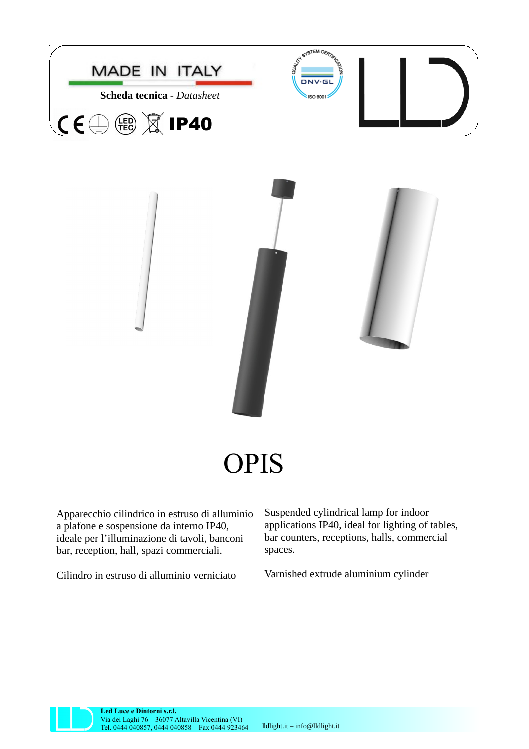



Apparecchio cilindrico in estruso di alluminio a plafone e sospensione da interno IP40, ideale per l'illuminazione di tavoli, banconi bar, reception, hall, spazi commerciali.

Cilindro in estruso di alluminio verniciato

Suspended cylindrical lamp for indoor applications IP40, ideal for lighting of tables, bar counters, receptions, halls, commercial spaces.

Varnished extrude aluminium cylinder

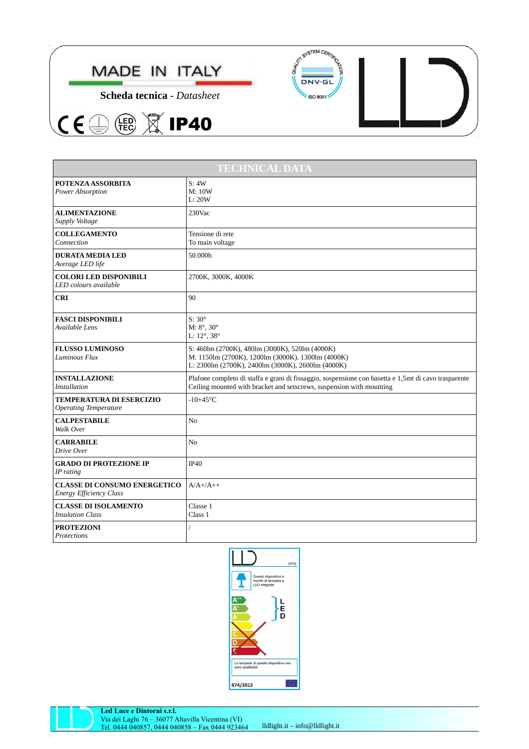





| <b>TECHNICAL DATA</b>                                                 |                                                                                                                                                                              |
|-----------------------------------------------------------------------|------------------------------------------------------------------------------------------------------------------------------------------------------------------------------|
| POTENZA ASSORBITA<br>Power Absorption                                 | S:4W<br>M: 10W<br>L:20W                                                                                                                                                      |
| <b>ALIMENTAZIONE</b><br>Supply Voltage                                | 230Vac                                                                                                                                                                       |
| <b>COLLEGAMENTO</b><br>Connection                                     | Tensione di rete<br>To main voltage                                                                                                                                          |
| <b>DURATA MEDIA LED</b><br>Average LED life                           | 50.000h                                                                                                                                                                      |
| <b>COLORI LED DISPONIBILI</b><br>LED colours available                | 2700K, 3000K, 4000K                                                                                                                                                          |
| <b>CRI</b>                                                            | 90                                                                                                                                                                           |
| <b>FASCI DISPONIBILI</b><br>Available Lens                            | $S:30^\circ$<br>$M: 8^\circ, 30^\circ$<br>L: 12°, 38°                                                                                                                        |
| <b>FLUSSO LUMINOSO</b><br>Luminous Flux                               | S: 460lm (2700K), 480lm (3000K), 520lm (4000K)<br>M: 1150lm (2700K), 1200lm (3000K). 1300lm (4000K)<br>L: 2300lm (2700K), 2400lm (3000K), 2600lm (4000K)                     |
| <b>INSTALLAZIONE</b><br><b>Installation</b>                           | Plafone completo di staffa e grani di fissaggio, sospensione con basetta e 1,5mt di cavo trasparente<br>Ceiling mounted with bracket and setscrews, suspension with mounting |
| <b>TEMPERATURA DI ESERCIZIO</b><br><b>Operating Temperature</b>       | $-10+45$ °C                                                                                                                                                                  |
| <b>CALPESTABILE</b><br>Walk Over                                      | N <sub>0</sub>                                                                                                                                                               |
| <b>CARRABILE</b><br>Drive Over                                        | N <sub>0</sub>                                                                                                                                                               |
| <b>GRADO DI PROTEZIONE IP</b><br>IP rating                            | <b>IP40</b>                                                                                                                                                                  |
| <b>CLASSE DI CONSUMO ENERGETICO</b><br><b>Energy Efficiency Class</b> | $A/A+/A++$                                                                                                                                                                   |
| <b>CLASSE DI ISOLAMENTO</b><br><b>Insulation Class</b>                | Classe 1<br>Class 1                                                                                                                                                          |
| <b>PROTEZIONI</b><br>Protections                                      |                                                                                                                                                                              |